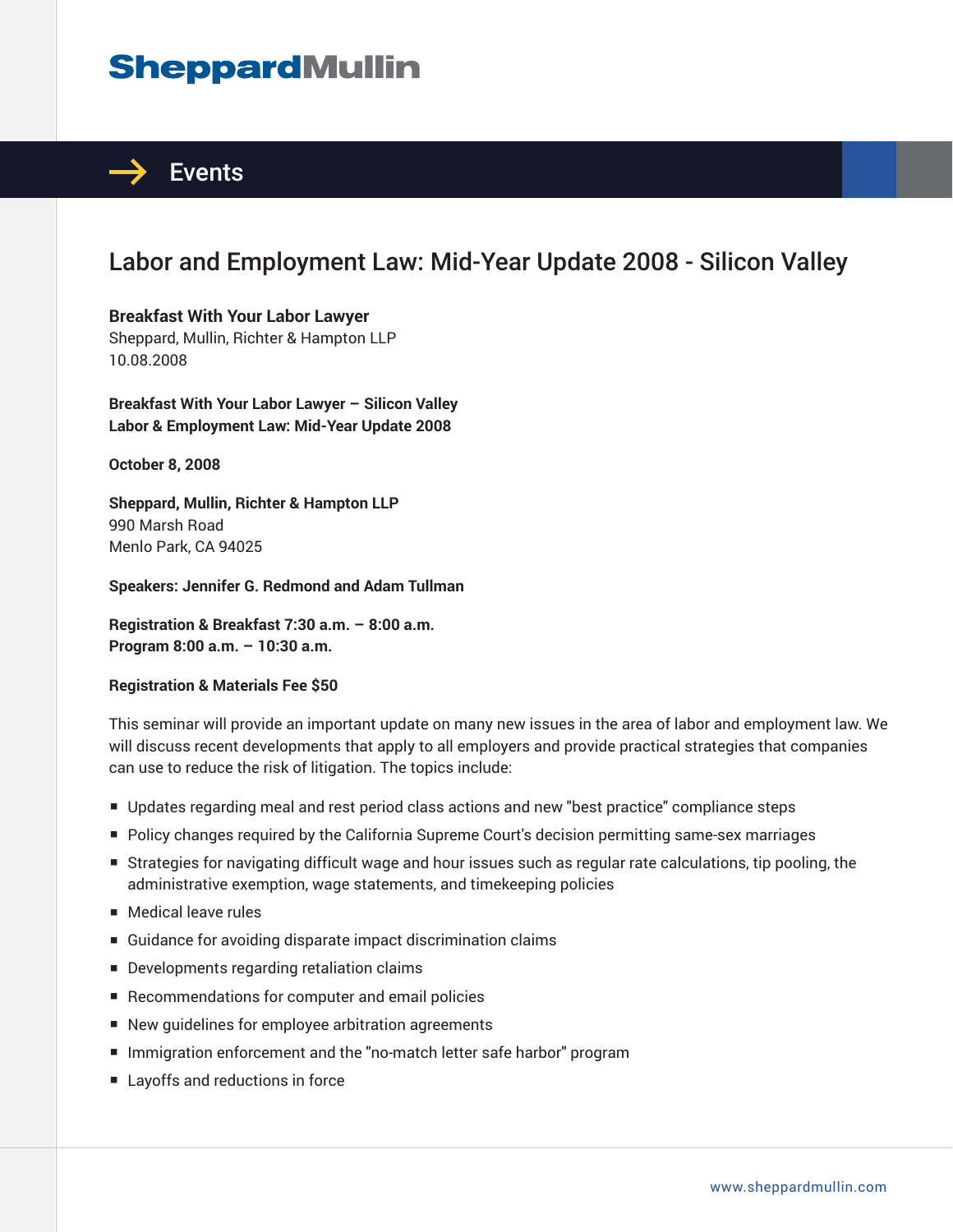# **SheppardMullin**



## Labor and Employment Law: Mid-Year Update 2008 - Silicon Valley

#### **Breakfast With Your Labor Lawyer** Sheppard, Mullin, Richter & Hampton LLP 10.08.2008

**Breakfast With Your Labor Lawyer – Silicon Valley Labor & Employment Law: Mid-Year Update 2008** 

**October 8, 2008** 

**Sheppard, Mullin, Richter & Hampton LLP** 990 Marsh Road Menlo Park, CA 94025

**Speakers: Jennifer G. Redmond and Adam Tullman** 

**Registration & Breakfast 7:30 a.m. – 8:00 a.m. Program 8:00 a.m. – 10:30 a.m.**

#### **Registration & Materials Fee \$50**

This seminar will provide an important update on many new issues in the area of labor and employment law. We will discuss recent developments that apply to all employers and provide practical strategies that companies can use to reduce the risk of litigation. The topics include:

- Updates regarding meal and rest period class actions and new "best practice" compliance steps
- Policy changes required by the California Supreme Court's decision permitting same-sex marriages
- Strategies for navigating difficult wage and hour issues such as regular rate calculations, tip pooling, the administrative exemption, wage statements, and timekeeping policies
- Medical leave rules
- Guidance for avoiding disparate impact discrimination claims
- Developments regarding retaliation claims
- Recommendations for computer and email policies
- New guidelines for employee arbitration agreements
- Immigration enforcement and the "no-match letter safe harbor" program
- Layoffs and reductions in force